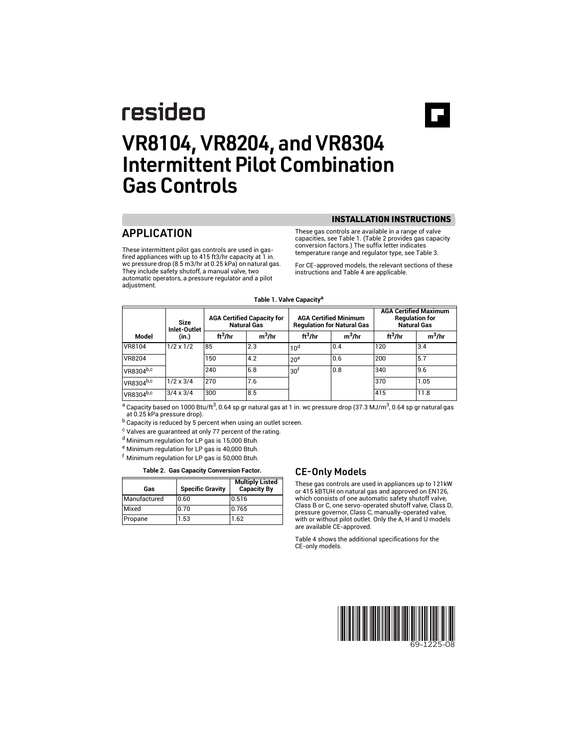# resideo

# VR8104, VR8204, and VR8304 Intermittent Pilot Combination Gas Controls

# APPLICATION

These intermittent pilot gas controls are used in gasfired appliances with up to 415 ft3/hr capacity at 1 in. wc pressure drop (8.5 m3/hr at 0.25 kPa) on natural gas. They include safety shutoff, a manual valve, two automatic operators, a pressure regulator and a pilot adjustment.

INSTALLATION INSTRUCTIONS

These gas controls are available in a range of valve capacities, see Table 1. (Table 2 provides gas capacity conversion factors.) The suffix letter indicates temperature range and regulator type, see Table 3.

For CE-approved models, the relevant sections of these instructions and Table 4 are applicable.

|                       | Size<br>Inlet-Outlet |                     | <b>AGA Certified Capacity for</b><br><b>Natural Gas</b> |                     | <b>AGA Certified Minimum</b><br><b>Regulation for Natural Gas</b> |                     | <b>AGA Certified Maximum</b><br><b>Regulation for</b><br><b>Natural Gas</b> |  |
|-----------------------|----------------------|---------------------|---------------------------------------------------------|---------------------|-------------------------------------------------------------------|---------------------|-----------------------------------------------------------------------------|--|
| Model                 | (in.)                | ft <sup>3</sup> /hr | $m^3$ /hr                                               | ft <sup>3</sup> /hr | $m^3$ /hr                                                         | ft <sup>3</sup> /hr | $m^3$ /hr                                                                   |  |
| VR8104                | $1/2 \times 1/2$     | 85                  | 2.3                                                     | 10 <sup>d</sup>     | 0.4                                                               | 120                 | 3.4                                                                         |  |
| <b>VR8204</b>         |                      | 150                 | 4.2                                                     | 20 <sup>e</sup>     | 0.6                                                               | 200                 | 5.7                                                                         |  |
| VR8304b,c             |                      | 240                 | 6.8                                                     | 30 <sup>1</sup>     | 0.8                                                               | 340                 | 9.6                                                                         |  |
| VR8304 <sup>b,c</sup> | $1/2 \times 3/4$     | 270                 | 7.6                                                     |                     |                                                                   | 370                 | 1.05                                                                        |  |
| VR8304b,c             | $3/4 \times 3/4$     | 300                 | 8.5                                                     |                     |                                                                   | 415                 | 11.8                                                                        |  |

#### **Table 1. Valve Capacitya**

<sup>a</sup> Capacity based on 1000 Btu/ft<sup>3</sup>, 0.64 sp gr natural gas at 1 in. wc pressure drop (37.3 MJ/m<sup>3</sup>, 0.64 sp gr natural gas at 0.25 kPa pressure drop).

b Capacity is reduced by 5 percent when using an outlet screen.

<sup>c</sup> Valves are guaranteed at only 77 percent of the rating.

<sup>d</sup> Minimum regulation for LP gas is 15,000 Btuh.

<sup>e</sup> Minimum regulation for LP gas is 40,000 Btuh.

Minimum regulation for LP gas is 50,000 Btuh.

#### Table 2. Gas Capacity Conversion Factor. **CE-Only Models**

| Gas          | <b>Specific Gravity</b> | <b>Multiply Listed</b><br><b>Capacity By</b> |
|--------------|-------------------------|----------------------------------------------|
| Manufactured | 0.60                    | 0.516                                        |
| Mixed        | 0.70                    | 0.765                                        |
| Propane      | 1.53                    | 1.62                                         |

These gas controls are used in appliances up to 121kW or 415 kBTUH on natural gas and approved on EN126, which consists of one automatic safety shutoff valve, Class B or C, one servo-operated shutoff valve, Class D, pressure governor, Class C, manually-operated valve, with or without pilot outlet. Only the A, H and U models are available CE-approved.

Table 4 shows the additional specifications for the CE-only models.

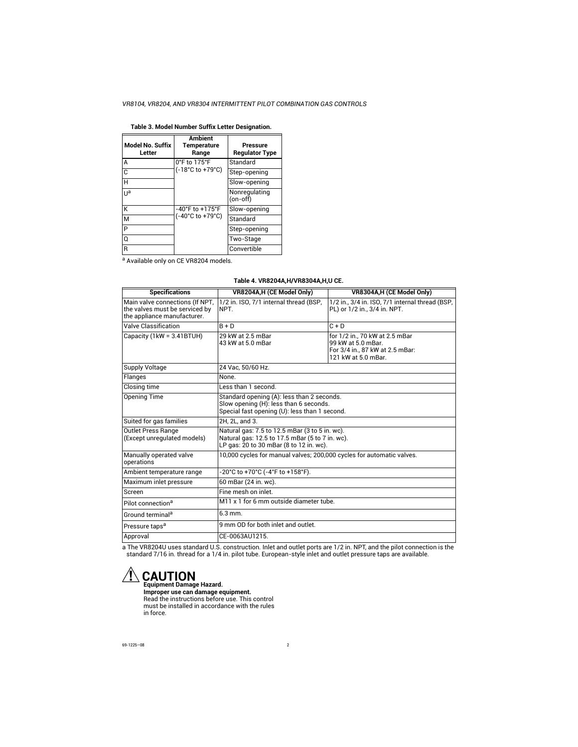| Model No. Suffix<br>Letter | <b>Ambient</b><br><b>Temperature</b><br>Range | Pressure<br><b>Requlator Type</b> |  |
|----------------------------|-----------------------------------------------|-----------------------------------|--|
| А                          | 0°F to 175°F                                  | Standard                          |  |
| C                          | (-18°C to +79°C)                              | Step-opening                      |  |
| H                          |                                               | Slow-opening                      |  |
| Ua                         |                                               | Nonregulating<br>(on-off)         |  |
| К                          | $-40^{\circ}$ F to $+175^{\circ}$ F           | Slow-opening                      |  |
| M                          | (-40°C to +79°C)                              | Standard                          |  |
| P                          |                                               | Step-opening                      |  |
| Q                          |                                               | Two-Stage                         |  |
| R                          |                                               | Convertible                       |  |

#### **Table 3. Model Number Suffix Letter Designation.**

a Available only on CE VR8204 models.

| Table 4. VR8204A, H/VR8304A, H, U CE. |  |
|---------------------------------------|--|
|                                       |  |

| <b>Specifications</b>                                                                            | VR8204A, H (CE Model Only)                                                                                                                   | VR8304A,H (CE Model Only)                                                                                      |  |  |  |
|--------------------------------------------------------------------------------------------------|----------------------------------------------------------------------------------------------------------------------------------------------|----------------------------------------------------------------------------------------------------------------|--|--|--|
|                                                                                                  |                                                                                                                                              |                                                                                                                |  |  |  |
| Main valve connections (If NPT,<br>the valves must be serviced by<br>the appliance manufacturer. | 1/2 in. ISO, 7/1 internal thread (BSP,<br>NPT.                                                                                               | 1/2 in., 3/4 in. ISO, 7/1 internal thread (BSP,<br>PL) or $1/2$ in., 3/4 in. NPT.                              |  |  |  |
| Valve Classification                                                                             | $B + D$                                                                                                                                      | $C + D$                                                                                                        |  |  |  |
| Capacity (1kW = 3.41BTUH)                                                                        | 29 kW at 2.5 mBar<br>43 kW at 5.0 mBar                                                                                                       | for 1/2 in., 70 kW at 2.5 mBar<br>99 kW at 5.0 mBar.<br>For 3/4 in., 87 kW at 2.5 mBar:<br>121 kW at 5.0 mBar. |  |  |  |
| <b>Supply Voltage</b>                                                                            | 24 Vac. 50/60 Hz.                                                                                                                            |                                                                                                                |  |  |  |
| Flanges                                                                                          | None.                                                                                                                                        |                                                                                                                |  |  |  |
| Closing time                                                                                     | Less than 1 second.                                                                                                                          |                                                                                                                |  |  |  |
| <b>Opening Time</b>                                                                              | Standard opening (A): less than 2 seconds.<br>Slow opening (H): less than 6 seconds.<br>Special fast opening (U): less than 1 second.        |                                                                                                                |  |  |  |
| Suited for gas families                                                                          | 2H. 2L. and 3.                                                                                                                               |                                                                                                                |  |  |  |
| <b>Outlet Press Range</b><br>(Except unregulated models)                                         | Natural gas: 7.5 to 12.5 mBar (3 to 5 in. wc).<br>Natural gas: 12.5 to 17.5 mBar (5 to 7 in. wc).<br>LP gas: 20 to 30 mBar (8 to 12 in. wc). |                                                                                                                |  |  |  |
| Manually operated valve<br>operations                                                            | 10,000 cycles for manual valves; 200,000 cycles for automatic valves.                                                                        |                                                                                                                |  |  |  |
| Ambient temperature range                                                                        | -20°C to +70°C (-4°F to +158°F).                                                                                                             |                                                                                                                |  |  |  |
| Maximum inlet pressure                                                                           | 60 mBar (24 in. wc).                                                                                                                         |                                                                                                                |  |  |  |
| Screen                                                                                           | Fine mesh on inlet                                                                                                                           |                                                                                                                |  |  |  |
| Pilot connection <sup>a</sup>                                                                    | M11 x 1 for 6 mm outside diameter tube.                                                                                                      |                                                                                                                |  |  |  |
| Ground terminal <sup>a</sup>                                                                     | $6.3$ mm.                                                                                                                                    |                                                                                                                |  |  |  |
| Pressure taps <sup>a</sup>                                                                       | 9 mm OD for both inlet and outlet.                                                                                                           |                                                                                                                |  |  |  |
| Approval                                                                                         | CE-0063AU1215.                                                                                                                               |                                                                                                                |  |  |  |

a The VR8204U uses standard U.S. construction. Inlet and outlet ports are 1/2 in. NPT, and the pilot connection is the<br>standard 7/16 in. thread for a 1/4 in. pilot tube. European-style inlet and outlet pressure taps are av

# **CAUTION Equipment Damage Hazard.**

**Improper use can damage equipment.** Read the instructions before use. This control must be installed in accordance with the rules in force.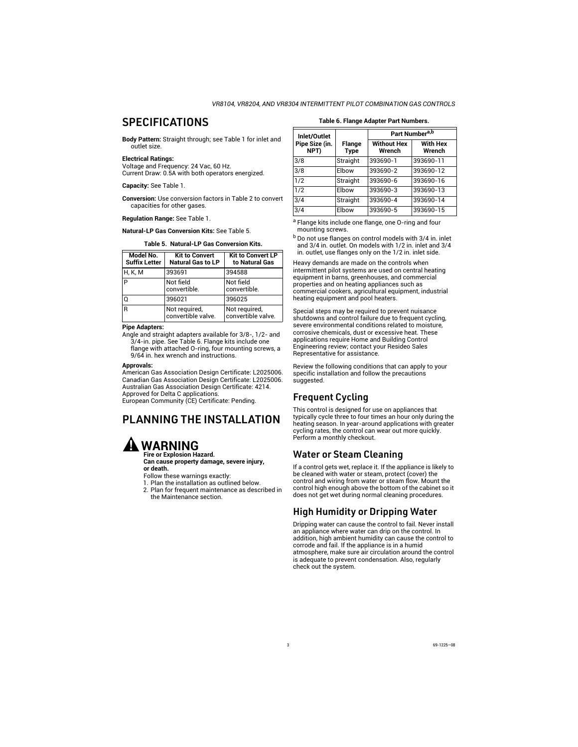# **SPECIFICATIONS**

**Body Pattern:** Straight through; see Table 1 for inlet and outlet size.

#### **Electrical Ratings:**

Voltage and Frequency: 24 Vac, 60 Hz. Current Draw: 0.5A with both operators energized.

**Capacity:** See Table 1.

**Conversion:** Use conversion factors in Table 2 to convert capacities for other gases.

**Regulation Range:** See Table 1.

**Natural-LP Gas Conversion Kits:** See Table 5.

**Table 5. Natural-LP Gas Conversion Kits.**

<span id="page-2-0"></span>

| Model No.<br><b>Suffix Letter</b> | <b>Kit to Convert</b><br><b>Natural Gas to LP</b> | <b>Kit to Convert LP</b><br>to Natural Gas |  |
|-----------------------------------|---------------------------------------------------|--------------------------------------------|--|
| <b>H, K, M</b>                    | 393691                                            | 394588                                     |  |
| P                                 | Not field<br>convertible.                         | Not field<br>convertible.                  |  |
| O                                 | 396021                                            | 396025                                     |  |
| R                                 | Not required,<br>convertible valve.               | Not required,<br>convertible valve.        |  |

#### **Pipe Adapters:**

Angle and straight adapters available for 3/8-, 1/2- and 3/4-in. pipe. See Table 6. Flange kits include one flange with attached O-ring, four mounting screws, a 9/64 in. hex wrench and instructions.

#### **Approvals:**

American Gas Association Design Certificate: L2025006. Canadian Gas Association Design Certificate: L2025006. Australian Gas Association Design Certificate: 4214. Approved for Delta C applications. European Community (CE) Certificate: Pending.

# PLANNING THE INSTALLATION



**Fire or Explosion Hazard. Can cause property damage, severe injury, or death.**

Follow these warnings exactly:

- 1. Plan the installation as outlined below.
- 2. Plan for frequent maintenance as described in the Maintenance section.

# **Table 6. Flange Adapter Part Numbers.**

| Inlet/Outlet           |                              | Part Number <sup>a,b</sup>   |                           |  |  |
|------------------------|------------------------------|------------------------------|---------------------------|--|--|
| Pipe Size (in.<br>NPT) | <b>Flange</b><br><b>Type</b> | <b>Without Hex</b><br>Wrench | <b>With Hex</b><br>Wrench |  |  |
| 3/8                    | Straight                     | 393690-1                     | 393690-11                 |  |  |
| 3/8                    | Elbow                        | 393690-2                     | 393690-12                 |  |  |
| 1/2                    | Straight                     | 393690-6                     | 393690-16                 |  |  |
| 1/2                    | Elbow                        | 393690-3                     | 393690-13                 |  |  |
| 3/4                    | Straight                     | 393690-4                     | 393690-14                 |  |  |
| 3/4                    | Elbow                        | 393690-5                     | 393690-15                 |  |  |

a Flange kits include one flange, one O-ring and four mounting screws.

<sup>b</sup> Do not use flanges on control models with 3/4 in. inlet and 3/4 in. outlet. On models with 1/2 in. inlet and 3/4 in. outlet, use flanges only on the 1/2 in. inlet side.

Heavy demands are made on the controls when intermittent pilot systems are used on central heating equipment in barns, greenhouses, and commercial properties and on heating appliances such as commercial cookers, agricultural equipment, industrial heating equipment and pool heaters.

Special steps may be required to prevent nuisance shutdowns and control failure due to frequent cycling, severe environmental conditions related to moisture, corrosive chemicals, dust or excessive heat. These applications require Home and Building Control Engineering review; contact your Resideo Sales Representative for assistance.

Review the following conditions that can apply to your specific installation and follow the precautions suggested.

## Frequent Cycling

This control is designed for use on appliances that typically cycle three to four times an hour only during the heating season. In year-around applications with greater cycling rates, the control can wear out more quickly. Perform a monthly checkout.

## Water or Steam Cleaning

If a control gets wet, replace it. If the appliance is likely to be cleaned with water or steam, protect (cover) the control and wiring from water or steam flow. Mount the control high enough above the bottom of the cabinet so it does not get wet during normal cleaning procedures.

# High Humidity or Dripping Water

Dripping water can cause the control to fail. Never install an appliance where water can drip on the control. In addition, high ambient humidity can cause the control to corrode and fail. If the appliance is in a humid atmosphere, make sure air circulation around the control is adequate to prevent condensation. Also, regularly check out the system.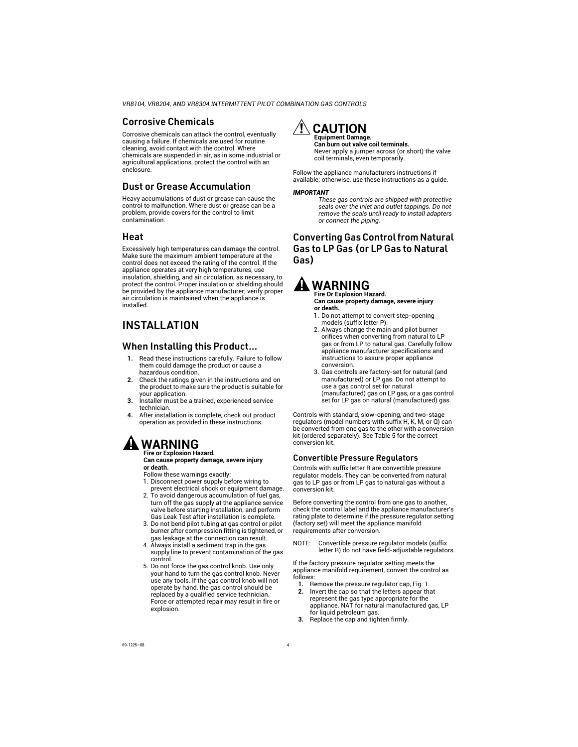## Corrosive Chemicals

Corrosive chemicals can attack the control, eventually causing a failure. If chemicals are used for routine cleaning, avoid contact with the control. Where chemicals are suspended in air, as in some industrial or agricultural applications, protect the control with an enclosure.

## Dust or Grease Accumulation

Heavy accumulations of dust or grease can cause the control to malfunction. Where dust or grease can be a problem, provide covers for the control to limit contamination.

## Heat

Excessively high temperatures can damage the control. Make sure the maximum ambient temperature at the control does not exceed the rating of the control. If the appliance operates at very high temperatures, use insulation, shielding, and air circulation, as necessary, to protect the control. Proper insulation or shielding should be provided by the appliance manufacturer; verify proper air circulation is maintained when the appliance is installed.

# INSTALLATION

## When Installing this Product...

- **1.** Read these instructions carefully. Failure to follow them could damage the product or cause a hazardous condition.
- **2.** Check the ratings given in the instructions and on the product to make sure the product is suitable for your application.
- **3.** Installer must be a trained, experienced service technician.
- **4.** After installation is complete, check out product operation as provided in these instructions.

# **WARNING**

#### **Fire or Explosion Hazard. Can cause property damage, severe injury or death.**

Follow these warnings exactly:

- 1. Disconnect power supply before wiring to prevent electrical shock or equipment damage.
- 2. To avoid dangerous accumulation of fuel gas, turn off the gas supply at the appliance service valve before starting installation, and perform Gas Leak Test after installation is complete.
- 3. Do not bend pilot tubing at gas control or pilot burner after compression fitting is tightened, or gas leakage at the connection can result.
- 4. Always install a sediment trap in the gas supply line to prevent contamination of the gas control.
- 5. Do not force the gas control knob. Use only your hand to turn the gas control knob. Never use any tools. If the gas control knob will not operate by hand, the gas control should be replaced by a qualified service technician. Force or attempted repair may result in fire or explosion.



#### **Can burn out valve coil terminals.** Never apply a jumper across (or short) the valve coil terminals, even temporarily.

Follow the appliance manufacturers instructions if available; otherwise, use these instructions as a guide.

#### *IMPORTANT*

*These gas controls are shipped with protective seals over the inlet and outlet tappings. Do not remove the seals until ready to install adapters or connect the piping.*

## Converting Gas Control from Natural Gas to LP Gas (or LP Gas to Natural Gas)

# **WARNING**

**Fire Or Explosion Hazard. Can cause property damage, severe injury or death.**

- 1. Do not attempt to convert step-opening models (suffix letter P).
- 2. Always change the main and pilot burner orifices when converting from natural to LP gas or from LP to natural gas. Carefully follow appliance manufacturer specifications and instructions to assure proper appliance conversion.
- 3. Gas controls are factory-set for natural (and manufactured) or LP gas. Do not attempt to use a gas control set for natural (manufactured) gas on LP gas, or a gas control set for LP gas on natural (manufactured) gas.

Controls with standard, slow-opening, and two-stage regulators (model numbers with suffix H, K, M, or Q) can be converted from one gas to the other with a conversion kit (ordered separately). See [Table 5](#page-2-0) for the correct conversion kit.

## Convertible Pressure Regulators

Controls with suffix letter R are convertible pressure regulator models. They can be converted from natural gas to LP gas or from LP gas to natural gas without a conversion kit.

Before converting the control from one gas to another, check the control label and the appliance manufacturer's rating plate to determine if the pressure regulator setting (factory set) will meet the appliance manifold requirements after conversion.

NOTE: Convertible pressure regulator models (suffix letter R) do not have field-adjustable regulators.

If the factory pressure regulator setting meets the appliance manifold requirement, convert the control as follows:

- **1.** Remove the pressure regulator cap, Fig. 1.<br>**2.** Invert the cap so that the letters appear the
- **2.** Invert the cap so that the letters appear that represent the gas type appropriate for the appliance. NAT for natural manufactured gas, LP for liquid petroleum gas.
- **3.** Replace the cap and tighten firmly.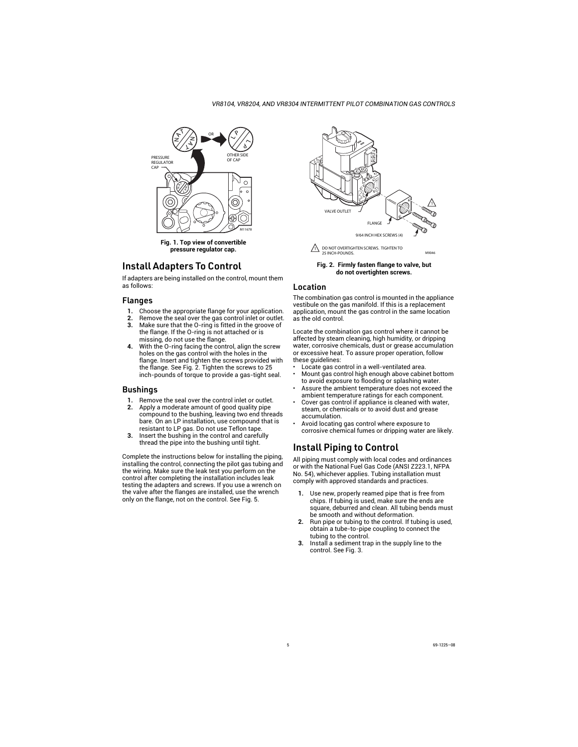

**Fig. 1. Top view of convertible pressure regulator cap.**

## Install Adapters To Control

If adapters are being installed on the control, mount them as follows:

#### Flanges

- **1.** Choose the appropriate flange for your application.
- **2.** Remove the seal over the gas control inlet or outlet.
- **3.** Make sure that the O-ring is fitted in the groove of the flange. If the O-ring is not attached or is missing, do not use the flange.
- **4.** With the O-ring facing the control, align the screw holes on the gas control with the holes in the flange. Insert and tighten the screws provided with the flange. See Fig. 2. Tighten the screws to 25 inch-pounds of torque to provide a gas-tight seal.

## Bushings

- **1.** Remove the seal over the control inlet or outlet.
- **2.** Apply a moderate amount of good quality pipe compound to the bushing, leaving two end threads bare. On an LP installation, use compound that is resistant to LP gas. Do not use Teflon tape.
- **3.** Insert the bushing in the control and carefully thread the pipe into the bushing until tight.

Complete the instructions below for installing the piping, installing the control, connecting the pilot gas tubing and the wiring. Make sure the leak test you perform on the control after completing the installation includes leak testing the adapters and screws. If you use a wrench on the valve after the flanges are installed, use the wrench only on the flange, not on the control. See Fig. 5.



**Fig. 2. Firmly fasten flange to valve, but do not overtighten screws.**

#### Location

The combination gas control is mounted in the appliance vestibule on the gas manifold. If this is a replacement application, mount the gas control in the same location as the old control.

Locate the combination gas control where it cannot be affected by steam cleaning, high humidity, or dripping water, corrosive chemicals, dust or grease accumulation or excessive heat. To assure proper operation, follow these guidelines:

- Locate gas control in a well-ventilated area.
- Mount gas control high enough above cabinet bottom to avoid exposure to flooding or splashing water.
- Assure the ambient temperature does not exceed the ambient temperature ratings for each component.
- Cover gas control if appliance is cleaned with water. steam, or chemicals or to avoid dust and grease accumulation.
- Avoid locating gas control where exposure to corrosive chemical fumes or dripping water are likely.

# Install Piping to Control

All piping must comply with local codes and ordinances or with the National Fuel Gas Code (ANSI Z223.1, NFPA No. 54), whichever applies. Tubing installation must comply with approved standards and practices.

- **1.** Use new, properly reamed pipe that is free from chips. If tubing is used, make sure the ends are square, deburred and clean. All tubing bends must be smooth and without deformation.
- **2.** Run pipe or tubing to the control. If tubing is used, obtain a tube-to-pipe coupling to connect the tubing to the control.
- **3.** Install a sediment trap in the supply line to the control. See Fig. 3.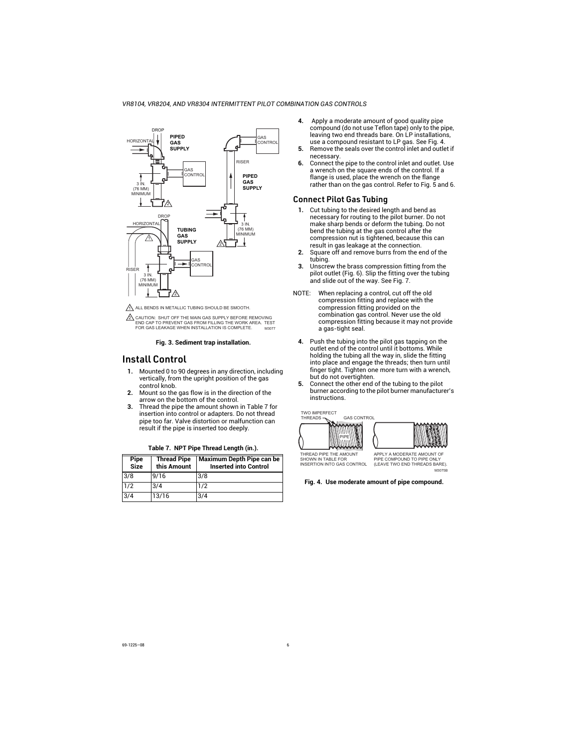

M3077 2 CAUTION: SHUT OFF THE MAIN GAS SUPPLY BEFORE REMOVING END CAP TO PREVENT GAS FROM FILLING THE WORK AREA. TEST FOR GAS LEAKAGE WHEN INSTALLATION IS COMPLETE.

#### **Fig. 3. Sediment trap installation.**

## Install Control

- **1.** Mounted 0 to 90 degrees in any direction, including vertically, from the upright position of the gas control knob.
- **2.** Mount so the gas flow is in the direction of the arrow on the bottom of the control.
- **3.** Thread the pipe the amount shown in Table 7 for insertion into control or adapters. Do not thread pipe too far. Valve distortion or malfunction can result if the pipe is inserted too deeply.

| Pipe<br>Size | <b>Thread Pipe</b><br>this Amount | <b>Maximum Depth Pipe can be</b><br><b>Inserted into Control</b> |
|--------------|-----------------------------------|------------------------------------------------------------------|
| 3/8          | 9/16                              | 3/8                                                              |
| 1/2          | 3/4                               | 1/2                                                              |
| 3/4          | 13/16                             | 3/4                                                              |

#### **Table 7. NPT Pipe Thread Length (in.).**

- **4.** Apply a moderate amount of good quality pipe compound (do not use Teflon tape) only to the pipe, leaving two end threads bare. On LP installations, use a compound resistant to LP gas. See Fig. 4.
- **5.** Remove the seals over the control inlet and outlet if necessary.
- **6.** Connect the pipe to the control inlet and outlet. Use a wrench on the square ends of the control. If a flange is used, place the wrench on the flange rather than on the gas control. Refer to Fig. 5 and 6.

## Connect Pilot Gas Tubing

- **1.** Cut tubing to the desired length and bend as necessary for routing to the pilot burner. Do not make sharp bends or deform the tubing. Do not bend the tubing at the gas control after the compression nut is tightened, because this can result in gas leakage at the connection.
- **2.** Square off and remove burrs from the end of the tubing.
- **3.** Unscrew the brass compression fitting from the pilot outlet (Fig. 6). Slip the fitting over the tubing and slide out of the way. See Fig. 7.
- NOTE: When replacing a control, cut off the old compression fitting and replace with the compression fitting provided on the combination gas control. Never use the old compression fitting because it may not provide a gas-tight seal.
	- **4.** Push the tubing into the pilot gas tapping on the outlet end of the control until it bottoms. While holding the tubing all the way in, slide the fitting into place and engage the threads; then turn until finger tight. Tighten one more turn with a wrench. but do not overtighten.
	- **5.** Connect the other end of the tubing to the pilot burner according to the pilot burner manufacturer's instructions.





THREAD PIPE THE AMOUNT SHOWN IN TABLE FOR INSERTION INTO GAS CONTROL

APPLY A MODERATE AMOUNT OF PIPE COMPOUND TO PIPE ONLY (LEAVE TWO END THREADS BARE). M3075B

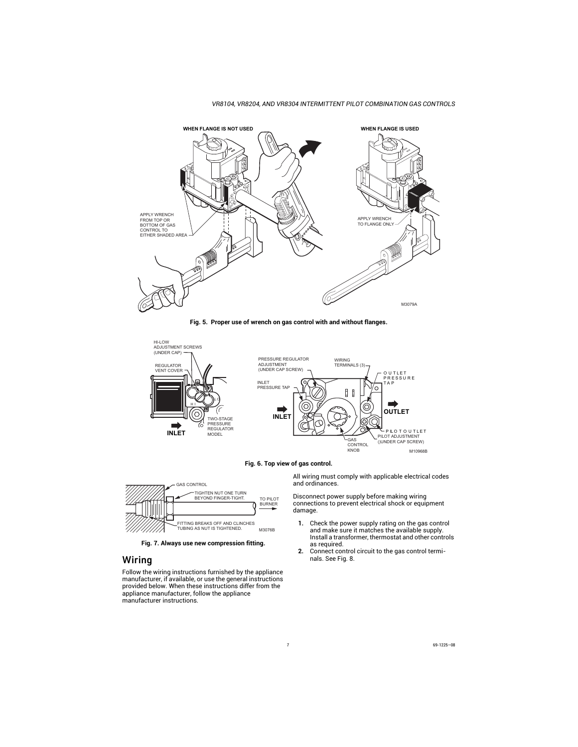









**Fig. 7. Always use new compression fitting.**

## Wiring

Follow the wiring instructions furnished by the appliance manufacturer, if available, or use the general instructions provided below. When these instructions differ from the appliance manufacturer, follow the appliance manufacturer instructions.

All wiring must comply with applicable electrical codes and ordinances.

Disconnect power supply before making wiring connections to prevent electrical shock or equipment damage.

- **1.** Check the power supply rating on the gas control and make sure it matches the available supply. Install a transformer, thermostat and other controls as required.
- **2.** Connect control circuit to the gas control terminals. See Fig. 8.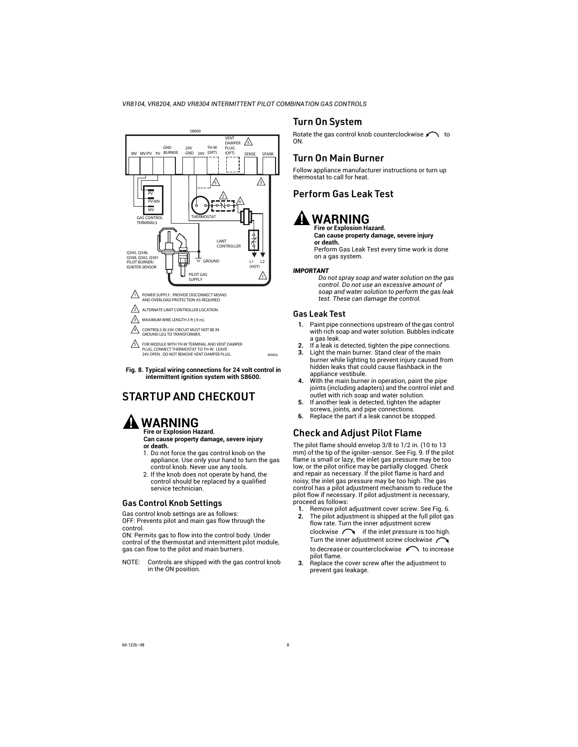

**Fig. 8. Typical wiring connections for 24 volt control in intermittent ignition system with S8600.**

# STARTUP AND CHECKOUT

## **WARNING Fire or Explosion Hazard.**

**Can cause property damage, severe injury or death.**

- 1. Do not force the gas control knob on the appliance. Use only your hand to turn the gas control knob. Never use any tools.
- 2. If the knob does not operate by hand, the control should be replaced by a qualified service technician.

## Gas Control Knob Settings

Gas control knob settings are as follows: OFF: Prevents pilot and main gas flow through the control.

ON: Permits gas to flow into the control body. Under control of the thermostat and intermittent pilot module, gas can flow to the pilot and main burners.

NOTE: Controls are shipped with the gas control knob in the ON position.

## Turn On System

Rotate the gas control knob counterclockwise  $\curvearrowleft$  to ON.

## Turn On Main Burner

Follow appliance manufacturer instructions or turn up thermostat to call for heat.

## Perform Gas Leak Test

# **WARNING**

#### **Fire or Explosion Hazard. Can cause property damage, severe injury or death.**

Perform Gas Leak Test every time work is done on a gas system.

#### *IMPORTANT*

*Do not spray soap and water solution on the gas control. Do not use an excessive amount of soap and water solution to perform the gas leak test. These can damage the control.*

#### Gas Leak Test

- **1.** Paint pipe connections upstream of the gas control with rich soap and water solution. Bubbles indicate a gas leak.
- **2.** If a leak is detected, tighten the pipe connections.
- **3.** Light the main burner. Stand clear of the main burner while lighting to prevent injury caused from hidden leaks that could cause flashback in the appliance vestibule.
- **4.** With the main burner in operation, paint the pipe joints (including adapters) and the control inlet and outlet with rich soap and water solution.
- **5.** If another leak is detected, tighten the adapter screws, joints, and pipe connections.
- **6.** Replace the part if a leak cannot be stopped.

## Check and Adjust Pilot Flame

The pilot flame should envelop 3/8 to 1/2 in. (10 to 13 mm) of the tip of the igniter-sensor. See Fig. 9. If the pilot flame is small or lazy, the inlet gas pressure may be too low, or the pilot orifice may be partially clogged. Check and repair as necessary. If the pilot flame is hard and noisy, the inlet gas pressure may be too high. The gas control has a pilot adjustment mechanism to reduce the pilot flow if necessary. If pilot adjustment is necessary, proceed as follows:

- **1.** Remove pilot adjustment cover screw. See Fig. 6.<br>**2.** The pilot adjustment is shipped at the full pilot ga
- **2.** The pilot adjustment is shipped at the full pilot gas flow rate. Turn the inner adjustment screw clockwise  $\bigcap$  if the inlet pressure is too high. Turn the inner adjustment screw clockwise / to decrease or counterclockwise  $\curvearrowleft$  to increase pilot flame.
- **3.** Replace the cover screw after the adjustment to prevent gas leakage.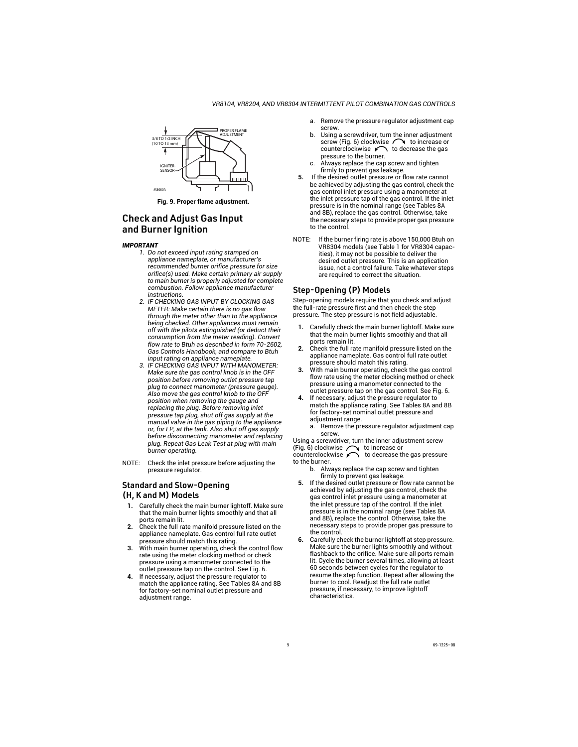

**Fig. 9. Proper flame adjustment.**

## Check and Adjust Gas Input and Burner Ignition

#### *IMPORTANT*

- *1. Do not exceed input rating stamped on appliance nameplate, or manufacturer's recommended burner orifice pressure for size orifice(s) used. Make certain primary air supply to main burner is properly adjusted for complete combustion. Follow appliance manufacturer instructions.*
- *2. IF CHECKING GAS INPUT BY CLOCKING GAS METER: Make certain there is no gas flow through the meter other than to the appliance being checked. Other appliances must remain off with the pilots extinguished (or deduct their consumption from the meter reading). Convert flow rate to Btuh as described in form 70-2602, Gas Controls Handbook, and compare to Btuh input rating on appliance nameplate.*
- *3. IF CHECKING GAS INPUT WITH MANOMETER: Make sure the gas control knob is in the OFF position before removing outlet pressure tap plug to connect manometer (pressure gauge). Also move the gas control knob to the OFF position when removing the gauge and replacing the plug. Before removing inlet pressure tap plug, shut off gas supply at the manual valve in the gas piping to the appliance or, for LP, at the tank. Also shut off gas supply before disconnecting manometer and replacing plug. Repeat Gas Leak Test at plug with main burner operating.*
- NOTE: Check the inlet pressure before adjusting the pressure regulator.

#### Standard and Slow-Opening (H, K and M) Models

- **1.** Carefully check the main burner lightoff. Make sure that the main burner lights smoothly and that all ports remain lit.
- **2.** Check the full rate manifold pressure listed on the appliance nameplate. Gas control full rate outlet pressure should match this rating.
- **3.** With main burner operating, check the control flow rate using the meter clocking method or check pressure using a manometer connected to the outlet pressure tap on the control. See Fig. 6.
- **4.** If necessary, adjust the pressure regulator to match the appliance rating. See Tables 8A and 8B for factory-set nominal outlet pressure and adjustment range.
- a. Remove the pressure regulator adjustment cap screw.
- b. Using a screwdriver, turn the inner adjustment screw (Fig. 6) clockwise  $\curvearrowright$  to increase or counterclockwise  $\curvearrowleft$  to decrease the gas pressure to the burner.
- c. Always replace the cap screw and tighten firmly to prevent gas leakage.
- **5.** If the desired outlet pressure or flow rate cannot be achieved by adjusting the gas control, check the gas control inlet pressure using a manometer at the inlet pressure tap of the gas control. If the inlet pressure is in the nominal range (see Tables 8A and 8B), replace the gas control. Otherwise, take the necessary steps to provide proper gas pressure to the control.
- NOTE: If the burner firing rate is above 150,000 Btuh on VR8304 models (see Table 1 for VR8304 capacities), it may not be possible to deliver the desired outlet pressure. This is an application issue, not a control failure. Take whatever steps are required to correct the situation.

## Step-Opening (P) Models

Step-opening models require that you check and adjust the full-rate pressure first and then check the step pressure. The step pressure is not field adjustable.

- **1.** Carefully check the main burner lightoff. Make sure that the main burner lights smoothly and that all ports remain lit.
- **2.** Check the full rate manifold pressure listed on the appliance nameplate. Gas control full rate outlet pressure should match this rating.
- **3.** With main burner operating, check the gas control flow rate using the meter clocking method or check pressure using a manometer connected to the outlet pressure tap on the gas control. See Fig. 6.
- **4.** If necessary, adjust the pressure regulator to match the appliance rating. See Tables 8A and 8B for factory-set nominal outlet pressure and adjustment range.
	- a. Remove the pressure regulator adjustment cap screw.

Using a screwdriver, turn the inner adjustment screw (Fig. 6) clockwise  $\bigcap$  to increase or counterclockwise  $\bigcap$  to decrease the

 $\Gamma$  to decrease the gas pressure to the burner.

- b. Always replace the cap screw and tighten firmly to prevent gas leakage.
- **5.** If the desired outlet pressure or flow rate cannot be achieved by adjusting the gas control, check the gas control inlet pressure using a manometer at the inlet pressure tap of the control. If the inlet pressure is in the nominal range (see Tables 8A and 8B), replace the control. Otherwise, take the necessary steps to provide proper gas pressure to the control.
- **6.** Carefully check the burner lightoff at step pressure. Make sure the burner lights smoothly and without flashback to the orifice. Make sure all ports remain lit. Cycle the burner several times, allowing at least 60 seconds between cycles for the regulator to resume the step function. Repeat after allowing the burner to cool. Readjust the full rate outlet pressure, if necessary, to improve lightoff characteristics.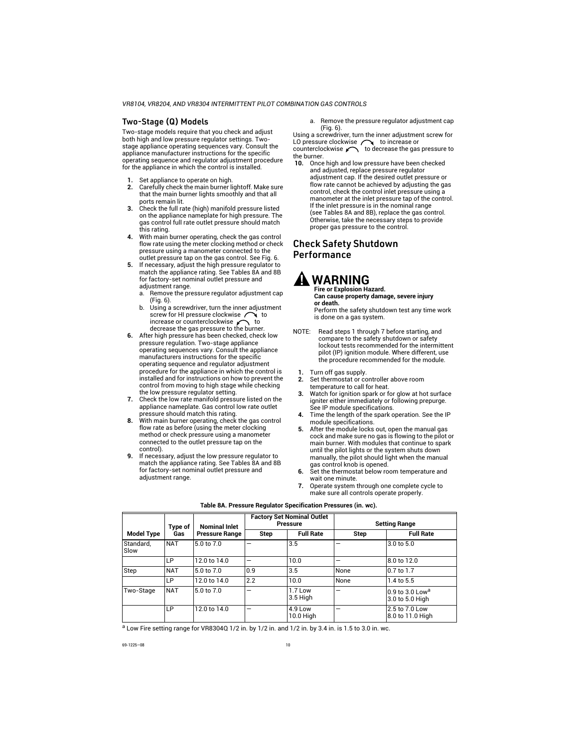## Two-Stage (Q) Models

Two-stage models require that you check and adjust both high and low pressure regulator settings. Twostage appliance operating sequences vary. Consult the appliance manufacturer instructions for the specific operating sequence and regulator adjustment procedure for the appliance in which the control is installed.

- **1.** Set appliance to operate on high.
- **2.** Carefully check the main burner lightoff. Make sure that the main burner lights smoothly and that all ports remain lit.
- **3.** Check the full rate (high) manifold pressure listed on the appliance nameplate for high pressure. The gas control full rate outlet pressure should match this rating.
- **4.** With main burner operating, check the gas control flow rate using the meter clocking method or check pressure using a manometer connected to the outlet pressure tap on the gas control. See Fig. 6.
- **5.** If necessary, adjust the high pressure regulator to match the appliance rating. See Tables 8A and 8B for factory-set nominal outlet pressure and adjustment range.
	- a. Remove the pressure regulator adjustment cap (Fig. 6).
	- b. Using a screwdriver, turn the inner adjustment screw for HI pressure clockwise  $\bigcap_{\text{} }$  to increase or counterclockwise  $\bigcap_{\text{} }$  to decrease the gas pressure to the burner.
- **6.** After high pressure has been checked, check low pressure regulation. Two-stage appliance operating sequences vary. Consult the appliance manufacturers instructions for the specific operating sequence and regulator adjustment procedure for the appliance in which the control is installed and for instructions on how to prevent the control from moving to high stage while checking the low pressure regulator setting.
- **7.** Check the low rate manifold pressure listed on the appliance nameplate. Gas control low rate outlet pressure should match this rating.
- **8.** With main burner operating, check the gas control flow rate as before (using the meter clocking method or check pressure using a manometer connected to the outlet pressure tap on the control).
- **9.** If necessary, adjust the low pressure regulator to match the appliance rating. See Tables 8A and 8B for factory-set nominal outlet pressure and adiustment range.

a. Remove the pressure regulator adjustment cap (Fig. 6).

Using a screwdriver, turn the inner adjustment screw for LO pressure clockwise  $\bigcap$  to increase or counterclockwise  $\curvearrowleft$  to decrease the gas pressure to the burner.

**10.** Once high and low pressure have been checked and adjusted, replace pressure regulator adjustment cap. If the desired outlet pressure or flow rate cannot be achieved by adjusting the gas control, check the control inlet pressure using a manometer at the inlet pressure tap of the control. If the inlet pressure is in the nominal range (see Tables 8A and 8B), replace the gas control. Otherwise, take the necessary steps to provide proper gas pressure to the control.

## Check Safety Shutdown Performance

**WARNING**

**Fire or Explosion Hazard. Can cause property damage, severe injury or death.**

Perform the safety shutdown test any time work is done on a gas system.

- NOTE: Read steps 1 through 7 before starting, and compare to the safety shutdown or safety lockout tests recommended for the intermittent pilot (IP) ignition module. Where different, use the procedure recommended for the module.
	- **1.** Turn off gas supply.<br>**2.** Set thermostat or com-
	- **2.** Set thermostat or controller above room temperature to call for heat.
	- **3.** Watch for ignition spark or for glow at hot surface igniter either immediately or following prepurge. See IP module specifications.
	- **4.** Time the length of the spark operation. See the IP module specifications.
	- **5.** After the module locks out, open the manual gas cock and make sure no gas is flowing to the pilot or main burner. With modules that continue to spark until the pilot lights or the system shuts down manually, the pilot should light when the manual gas control knob is opened.
	- **6.** Set the thermostat below room temperature and wait one minute.
	- **7.** Operate system through one complete cycle to make sure all controls operate properly.

|                   | <b>Nominal Inlet</b><br>Type of |                       | <b>Factory Set Nominal Outlet</b><br><b>Pressure</b> |                        | <b>Setting Range</b> |                                                  |
|-------------------|---------------------------------|-----------------------|------------------------------------------------------|------------------------|----------------------|--------------------------------------------------|
| <b>Model Type</b> | Gas                             | <b>Pressure Range</b> | Step                                                 | <b>Full Rate</b>       | <b>Step</b>          | <b>Full Rate</b>                                 |
| Standard,<br>Slow | <b>NAT</b>                      | 5.0 to 7.0            |                                                      | 3.5                    | -                    | 3.0 to 5.0                                       |
|                   | LP                              | 12.0 to 14.0          | -                                                    | 10.0                   | -                    | 8.0 to 12.0                                      |
| Step              | <b>NAT</b>                      | 5.0 to 7.0            | 0.9                                                  | 3.5                    | None                 | 0.7 to 1.7                                       |
|                   | LP                              | 12.0 to 14.0          | 2.2                                                  | 10.0                   | None                 | 1.4 to 5.5                                       |
| Two-Stage         | <b>NAT</b>                      | 5.0 to 7.0            | –                                                    | 1.7 Low<br>3.5 High    | –                    | $0.9$ to 3.0 Low <sup>a</sup><br>3.0 to 5.0 High |
|                   | LP                              | 12.0 to 14.0          | -                                                    | $4.9$ Low<br>10.0 High | -                    | 2.5 to 7.0 Low<br>8.0 to 11.0 High               |

#### **Table 8A. Pressure Regulator Specification Pressures (in. wc).**

<sup>a</sup> Low Fire setting range for VR8304Q 1/2 in. by 1/2 in. and 1/2 in. by 3.4 in. is 1.5 to 3.0 in. wc.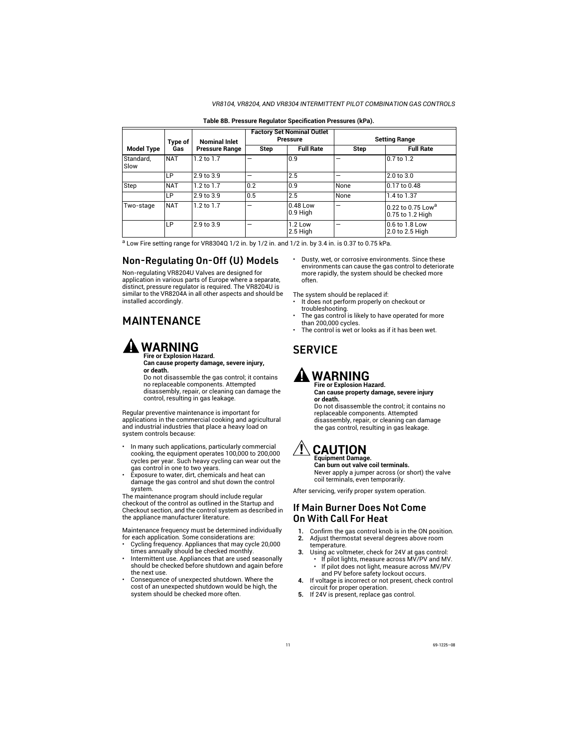#### *VR8104, VR8204, AND VR8304 INTERMITTENT PILOT COMBINATION GAS CONTROLS*

| <b>Model Type</b> | Type of    | <b>Nominal Inlet</b><br><b>Pressure Range</b> | <b>Factory Set Nominal Outlet</b><br><b>Pressure</b> |                        | <b>Setting Range</b> |                                                   |
|-------------------|------------|-----------------------------------------------|------------------------------------------------------|------------------------|----------------------|---------------------------------------------------|
|                   | Gas        |                                               | Step                                                 | <b>Full Rate</b>       | <b>Step</b>          | <b>Full Rate</b>                                  |
| Standard,<br>Slow | <b>NAT</b> | $1.2$ to $1.7$                                | -                                                    | 10.9                   |                      | 0.7 to 1.2                                        |
|                   | LP         | 2.9 to 3.9                                    | -                                                    | 2.5                    |                      | 2.0 to 3.0                                        |
| Step              | <b>NAT</b> | 1.2 to 1.7                                    | 0.2                                                  | 10.9                   | None                 | 0.17 to 0.48                                      |
|                   | LP         | 2.9 to 3.9                                    | 0.5                                                  | 2.5                    | None                 | 1.4 to 1.37                                       |
| Two-stage         | <b>NAT</b> | $1.2$ to $1.7$                                | -                                                    | 0.48 Low<br>$0.9$ High |                      | 0.22 to 0.75 Low <sup>a</sup><br>0.75 to 1.2 High |
|                   | LP         | 2.9 to 3.9                                    | –                                                    | $1.2$ Low<br>2.5 High  |                      | 0.6 to 1.8 Low<br>2.0 to 2.5 High                 |

#### **Table 8B. Pressure Regulator Specification Pressures (kPa).**

 $a$  Low Fire setting range for VR8304Q 1/2 in. by 1/2 in. and 1/2 in. by 3.4 in. is 0.37 to 0.75 kPa.

## Non-Regulating On-Off (U) Models

Non-regulating VR8204U Valves are designed for application in various parts of Europe where a separate, distinct, pressure regulator is required. The VR8204U is similar to the VR8204A in all other aspects and should be installed accordingly.

# **MAINTENANCE**

# **WARNING**

**Fire or Explosion Hazard. Can cause property damage, severe injury, or death.**

Do not disassemble the gas control; it contains no replaceable components. Attempted disassembly, repair, or cleaning can damage the control, resulting in gas leakage.

Regular preventive maintenance is important for applications in the commercial cooking and agricultural and industrial industries that place a heavy load on system controls because:

- In many such applications, particularly commercial cooking, the equipment operates 100,000 to 200,000 cycles per year. Such heavy cycling can wear out the gas control in one to two years.
- Exposure to water, dirt, chemicals and heat can damage the gas control and shut down the control system.

The maintenance program should include regular checkout of the control as outlined in the Startup and Checkout section, and the control system as described in the appliance manufacturer literature.

Maintenance frequency must be determined individually for each application. Some considerations are:

- Cycling frequency. Appliances that may cycle 20,000 times annually should be checked monthly.
- Intermittent use. Appliances that are used seasonally should be checked before shutdown and again before the next use.
- Consequence of unexpected shutdown. Where the cost of an unexpected shutdown would be high, the system should be checked more often.

• Dusty, wet, or corrosive environments. Since these environments can cause the gas control to deteriorate more rapidly, the system should be checked more often.

The system should be replaced if:

- It does not perform properly on checkout or troubleshooting.
- The gas control is likely to have operated for more than 200,000 cycles.
- The control is wet or looks as if it has been wet.

# **SERVICE**

# **WARNING**

**Fire or Explosion Hazard. Can cause property damage, severe injury or death.**

Do not disassemble the control; it contains no replaceable components. Attempted disassembly, repair, or cleaning can damage the gas control, resulting in gas leakage.

#### **CAUTION Equipment Damage.**

**Can burn out valve coil terminals.** Never apply a jumper across (or short) the valve coil terminals, even temporarily.

After servicing, verify proper system operation.

## If Main Burner Does Not Come On With Call For Heat

- **1.** Confirm the gas control knob is in the ON position.
- **2.** Adjust thermostat several degrees above room temperature.
- **3.** Using ac voltmeter, check for 24V at gas control: • If pilot lights, measure across MV/PV and MV.
	- If pilot does not light, measure across MV/PV and PV before safety lockout occurs.
- **4.** If voltage is incorrect or not present, check control circuit for proper operation.
- **5.** If 24V is present, replace gas control.